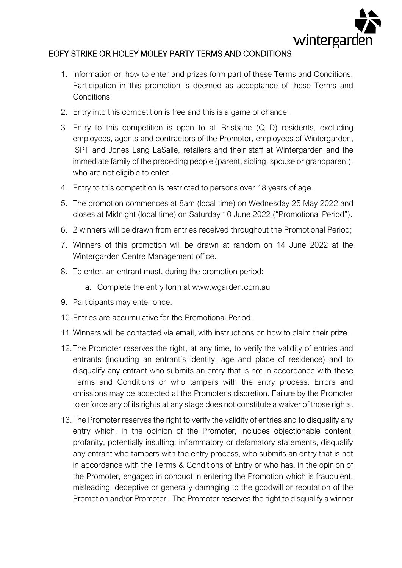

## EOFY STRIKE OR HOLEY MOLEY PARTY TERMS AND CONDITIONS

- 1. Information on how to enter and prizes form part of these Terms and Conditions. Participation in this promotion is deemed as acceptance of these Terms and Conditions.
- 2. Entry into this competition is free and this is a game of chance.
- 3. Entry to this competition is open to all Brisbane (QLD) residents, excluding employees, agents and contractors of the Promoter, employees of Wintergarden, ISPT and Jones Lang LaSalle, retailers and their staff at Wintergarden and the immediate family of the preceding people (parent, sibling, spouse or grandparent), who are not eligible to enter.
- 4. Entry to this competition is restricted to persons over 18 years of age.
- 5. The promotion commences at 8am (local time) on Wednesday 25 May 2022 and closes at Midnight (local time) on Saturday 10 June 2022 ("Promotional Period").
- 6. 2 winners will be drawn from entries received throughout the Promotional Period;
- 7. Winners of this promotion will be drawn at random on 14 June 2022 at the Wintergarden Centre Management office.
- 8. To enter, an entrant must, during the promotion period:
	- a. Complete the entry form at www.wgarden.com.au
- 9. Participants may enter once.
- 10.Entries are accumulative for the Promotional Period.
- 11.Winners will be contacted via email, with instructions on how to claim their prize.
- 12.The Promoter reserves the right, at any time, to verify the validity of entries and entrants (including an entrant's identity, age and place of residence) and to disqualify any entrant who submits an entry that is not in accordance with these Terms and Conditions or who tampers with the entry process. Errors and omissions may be accepted at the Promoter's discretion. Failure by the Promoter to enforce any of its rights at any stage does not constitute a waiver of those rights.
- 13.The Promoter reserves the right to verify the validity of entries and to disqualify any entry which, in the opinion of the Promoter, includes objectionable content, profanity, potentially insulting, inflammatory or defamatory statements, disqualify any entrant who tampers with the entry process, who submits an entry that is not in accordance with the Terms & Conditions of Entry or who has, in the opinion of the Promoter, engaged in conduct in entering the Promotion which is fraudulent, misleading, deceptive or generally damaging to the goodwill or reputation of the Promotion and/or Promoter. The Promoter reserves the right to disqualify a winner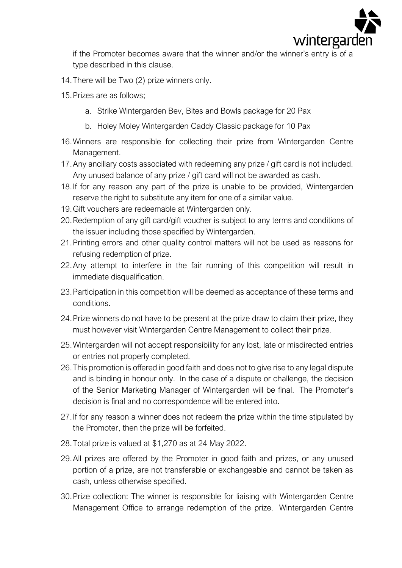

if the Promoter becomes aware that the winner and/or the winner's entry is of a type described in this clause.

- 14.There will be Two (2) prize winners only.
- 15.Prizes are as follows;
	- a. Strike Wintergarden Bev, Bites and Bowls package for 20 Pax
	- b. Holey Moley Wintergarden Caddy Classic package for 10 Pax
- 16.Winners are responsible for collecting their prize from Wintergarden Centre Management.
- 17.Any ancillary costs associated with redeeming any prize / gift card is not included. Any unused balance of any prize / gift card will not be awarded as cash.
- 18.If for any reason any part of the prize is unable to be provided, Wintergarden reserve the right to substitute any item for one of a similar value.
- 19.Gift vouchers are redeemable at Wintergarden only.
- 20.Redemption of any gift card/gift voucher is subject to any terms and conditions of the issuer including those specified by Wintergarden.
- 21.Printing errors and other quality control matters will not be used as reasons for refusing redemption of prize.
- 22.Any attempt to interfere in the fair running of this competition will result in immediate disqualification.
- 23.Participation in this competition will be deemed as acceptance of these terms and conditions.
- 24.Prize winners do not have to be present at the prize draw to claim their prize, they must however visit Wintergarden Centre Management to collect their prize.
- 25.Wintergarden will not accept responsibility for any lost, late or misdirected entries or entries not properly completed.
- 26.This promotion is offered in good faith and does not to give rise to any legal dispute and is binding in honour only. In the case of a dispute or challenge, the decision of the Senior Marketing Manager of Wintergarden will be final. The Promoter's decision is final and no correspondence will be entered into.
- 27.If for any reason a winner does not redeem the prize within the time stipulated by the Promoter, then the prize will be forfeited.
- 28.Total prize is valued at \$1,270 as at 24 May 2022.
- 29.All prizes are offered by the Promoter in good faith and prizes, or any unused portion of a prize, are not transferable or exchangeable and cannot be taken as cash, unless otherwise specified.
- 30.Prize collection: The winner is responsible for liaising with Wintergarden Centre Management Office to arrange redemption of the prize. Wintergarden Centre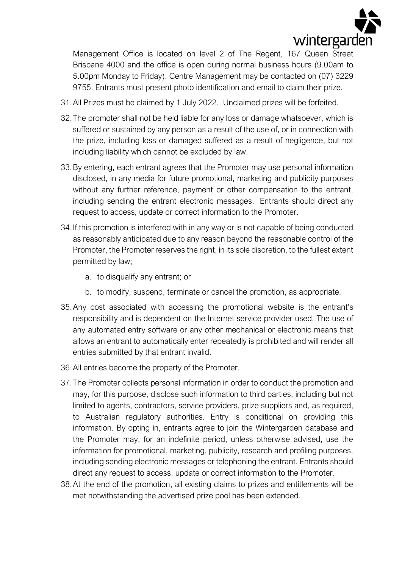

Management Office is located on level 2 of The Regent, 167 Queen Street Brisbane 4000 and the office is open during normal business hours (9.00am to 5.00pm Monday to Friday). Centre Management may be contacted on (07) 3229 9755. Entrants must present photo identification and email to claim their prize.

- 31.All Prizes must be claimed by 1 July 2022. Unclaimed prizes will be forfeited.
- 32.The promoter shall not be held liable for any loss or damage whatsoever, which is suffered or sustained by any person as a result of the use of, or in connection with the prize, including loss or damaged suffered as a result of negligence, but not including liability which cannot be excluded by law.
- 33.By entering, each entrant agrees that the Promoter may use personal information disclosed, in any media for future promotional, marketing and publicity purposes without any further reference, payment or other compensation to the entrant, including sending the entrant electronic messages. Entrants should direct any request to access, update or correct information to the Promoter.
- 34.If this promotion is interfered with in any way or is not capable of being conducted as reasonably anticipated due to any reason beyond the reasonable control of the Promoter, the Promoter reserves the right, in its sole discretion, to the fullest extent permitted by law;
	- a. to disqualify any entrant; or
	- b. to modify, suspend, terminate or cancel the promotion, as appropriate.
- 35.Any cost associated with accessing the promotional website is the entrant's responsibility and is dependent on the Internet service provider used. The use of any automated entry software or any other mechanical or electronic means that allows an entrant to automatically enter repeatedly is prohibited and will render all entries submitted by that entrant invalid.
- 36.All entries become the property of the Promoter.
- 37.The Promoter collects personal information in order to conduct the promotion and may, for this purpose, disclose such information to third parties, including but not limited to agents, contractors, service providers, prize suppliers and, as required, to Australian regulatory authorities. Entry is conditional on providing this information. By opting in, entrants agree to join the Wintergarden database and the Promoter may, for an indefinite period, unless otherwise advised, use the information for promotional, marketing, publicity, research and profiling purposes, including sending electronic messages or telephoning the entrant. Entrants should direct any request to access, update or correct information to the Promoter.
- 38.At the end of the promotion, all existing claims to prizes and entitlements will be met notwithstanding the advertised prize pool has been extended.